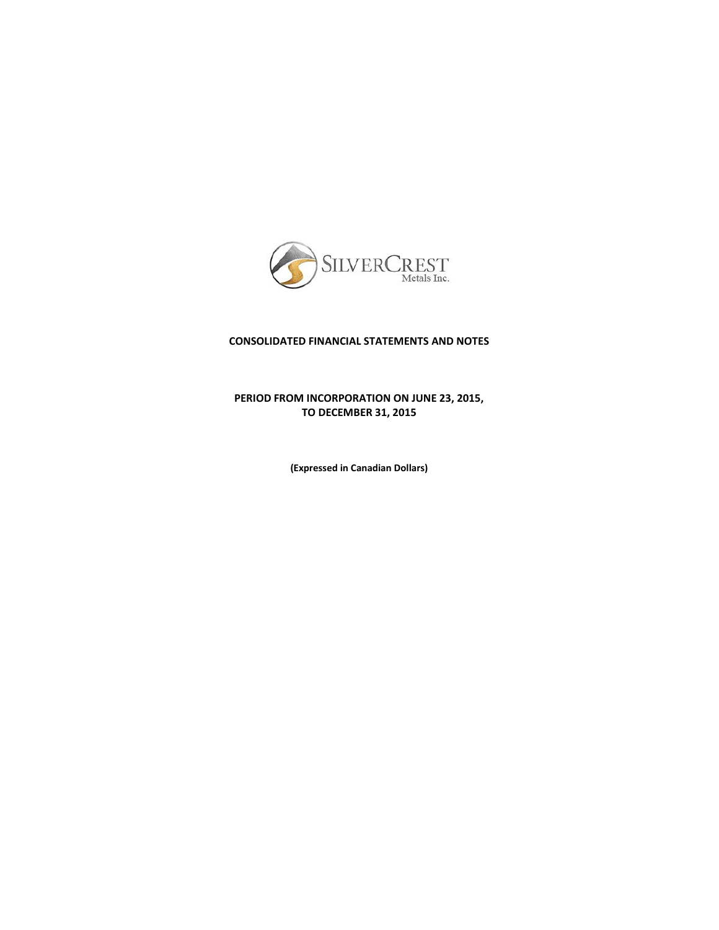

## **CONSOLIDATED FINANCIAL STATEMENTS AND NOTES**

## **PERIOD FROM INCORPORATION ON JUNE 23, 2015, TO DECEMBER 31, 2015**

**(Expressed in Canadian Dollars)**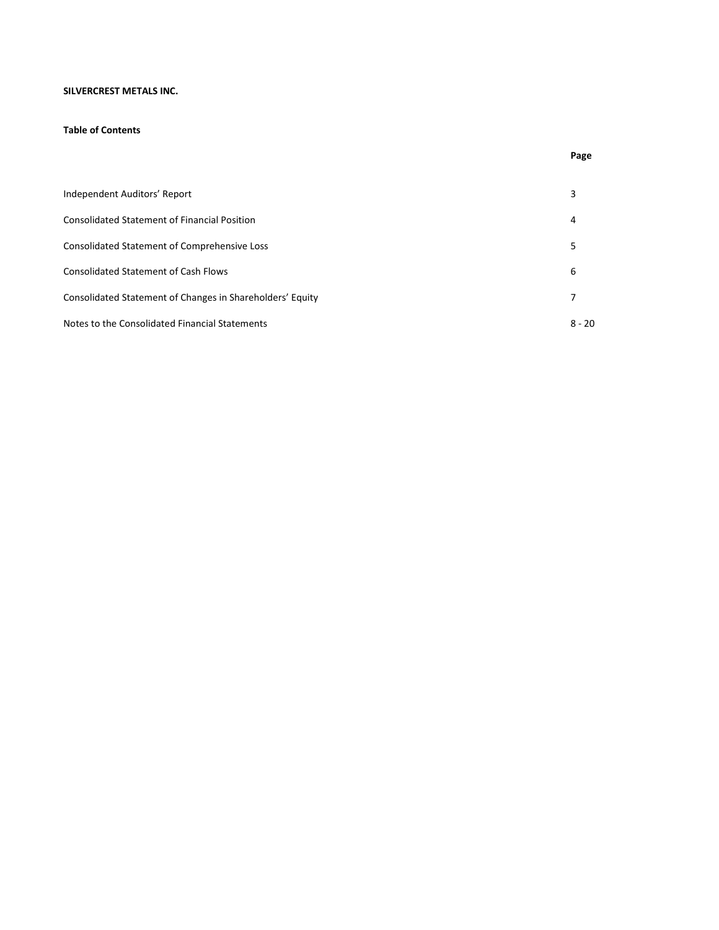## **SILVERCREST METALS INC.**

## **Table of Contents**

|                                                           | Page     |
|-----------------------------------------------------------|----------|
| Independent Auditors' Report                              | 3        |
| <b>Consolidated Statement of Financial Position</b>       | 4        |
| <b>Consolidated Statement of Comprehensive Loss</b>       | 5        |
| <b>Consolidated Statement of Cash Flows</b>               | 6        |
| Consolidated Statement of Changes in Shareholders' Equity |          |
| Notes to the Consolidated Financial Statements            | $8 - 20$ |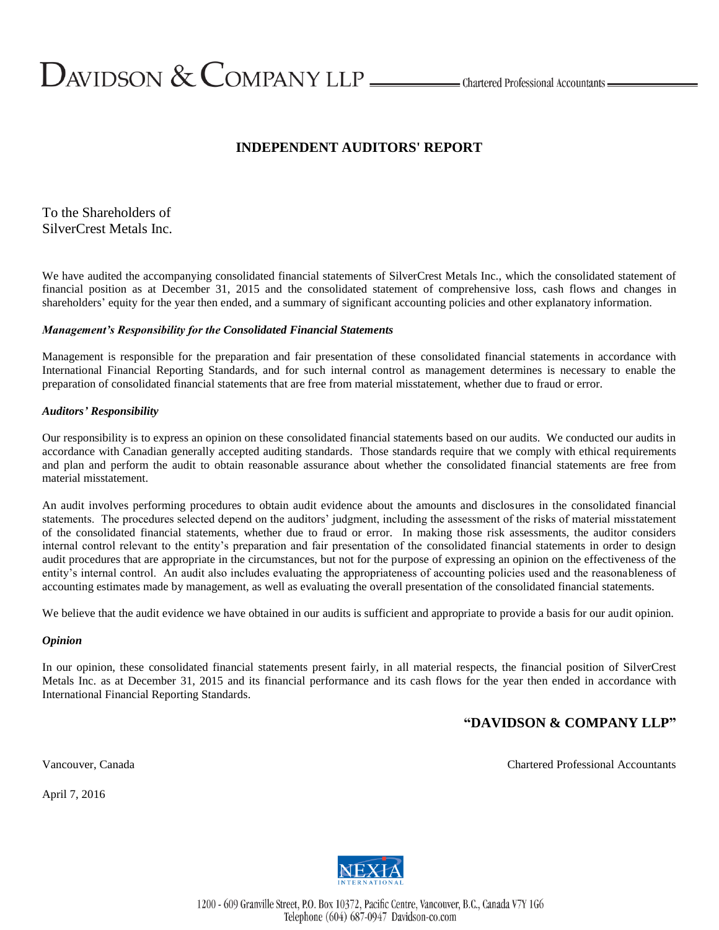# **INDEPENDENT AUDITORS' REPORT**

To the Shareholders of SilverCrest Metals Inc.

We have audited the accompanying consolidated financial statements of SilverCrest Metals Inc., which the consolidated statement of financial position as at December 31, 2015 and the consolidated statement of comprehensive loss, cash flows and changes in shareholders' equity for the year then ended, and a summary of significant accounting policies and other explanatory information.

## *Management's Responsibility for the Consolidated Financial Statements*

Management is responsible for the preparation and fair presentation of these consolidated financial statements in accordance with International Financial Reporting Standards, and for such internal control as management determines is necessary to enable the preparation of consolidated financial statements that are free from material misstatement, whether due to fraud or error.

## *Auditors' Responsibility*

Our responsibility is to express an opinion on these consolidated financial statements based on our audits. We conducted our audits in accordance with Canadian generally accepted auditing standards. Those standards require that we comply with ethical requirements and plan and perform the audit to obtain reasonable assurance about whether the consolidated financial statements are free from material misstatement.

An audit involves performing procedures to obtain audit evidence about the amounts and disclosures in the consolidated financial statements. The procedures selected depend on the auditors' judgment, including the assessment of the risks of material misstatement of the consolidated financial statements, whether due to fraud or error. In making those risk assessments, the auditor considers internal control relevant to the entity's preparation and fair presentation of the consolidated financial statements in order to design audit procedures that are appropriate in the circumstances, but not for the purpose of expressing an opinion on the effectiveness of the entity's internal control. An audit also includes evaluating the appropriateness of accounting policies used and the reasonableness of accounting estimates made by management, as well as evaluating the overall presentation of the consolidated financial statements.

We believe that the audit evidence we have obtained in our audits is sufficient and appropriate to provide a basis for our audit opinion.

## *Opinion*

In our opinion, these consolidated financial statements present fairly, in all material respects, the financial position of SilverCrest Metals Inc. as at December 31, 2015 and its financial performance and its cash flows for the year then ended in accordance with International Financial Reporting Standards.

# **"DAVIDSON & COMPANY LLP"**

April 7, 2016

Vancouver, Canada Chartered Professional Accountants

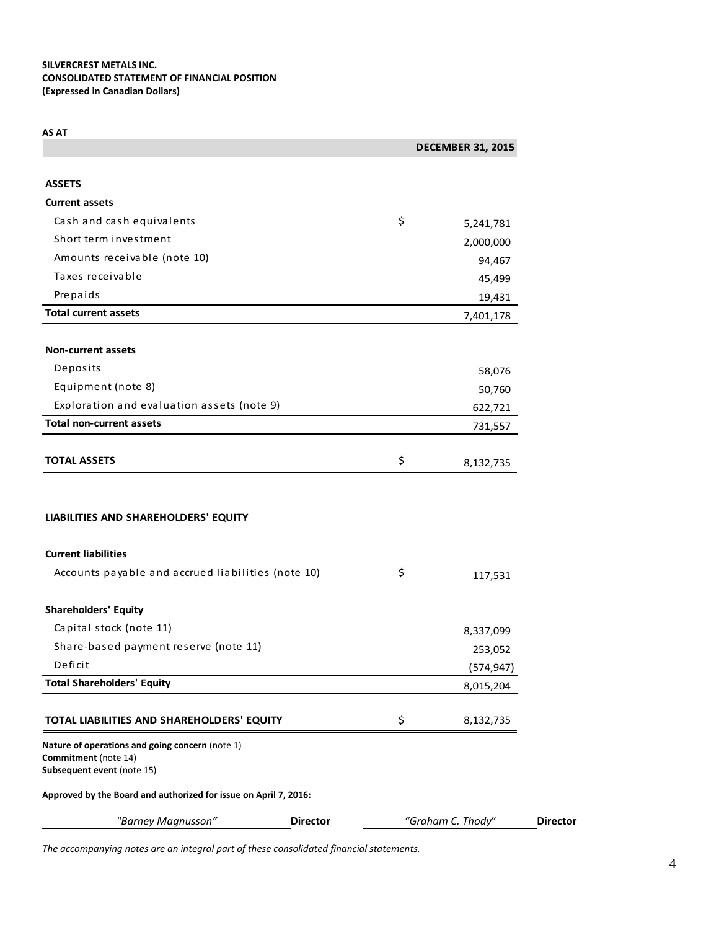## **SILVERCREST METALS INC. CONSOLIDATED STATEMENT OF FINANCIAL POSITION (Expressed in Canadian Dollars)**

| AS AT                                                                                                 |                 |                          |
|-------------------------------------------------------------------------------------------------------|-----------------|--------------------------|
|                                                                                                       |                 | <b>DECEMBER 31, 2015</b> |
| <b>ASSETS</b>                                                                                         |                 |                          |
| <b>Current assets</b>                                                                                 |                 |                          |
| Cash and cash equivalents                                                                             | \$              |                          |
| Short term investment                                                                                 |                 | 5,241,781                |
| Amounts receivable (note 10)                                                                          |                 | 2,000,000                |
| Taxes receivable                                                                                      |                 | 94,467<br>45,499         |
| Prepaids                                                                                              |                 |                          |
| <b>Total current assets</b>                                                                           |                 | 19,431<br>7,401,178      |
|                                                                                                       |                 |                          |
| <b>Non-current assets</b>                                                                             |                 |                          |
| Deposits                                                                                              |                 | 58,076                   |
| Equipment (note 8)                                                                                    |                 | 50,760                   |
| Exploration and evaluation assets (note 9)                                                            |                 | 622,721                  |
| <b>Total non-current assets</b>                                                                       |                 | 731,557                  |
| <b>TOTAL ASSETS</b>                                                                                   | \$              | 8,132,735                |
| LIABILITIES AND SHAREHOLDERS' EQUITY                                                                  |                 |                          |
| <b>Current liabilities</b>                                                                            |                 |                          |
| Accounts payable and accrued liabilities (note 10)                                                    | \$              | 117,531                  |
| <b>Shareholders' Equity</b>                                                                           |                 |                          |
| Capital stock (note 11)                                                                               |                 | 8,337,099                |
| Share-based payment reserve (note 11)                                                                 |                 | 253,052                  |
| Deficit                                                                                               |                 | (574, 947)               |
| <b>Total Shareholders' Equity</b>                                                                     |                 | 8,015,204                |
| TOTAL LIABILITIES AND SHAREHOLDERS' EQUITY                                                            | \$              | 8,132,735                |
|                                                                                                       |                 |                          |
| Nature of operations and going concern (note 1)<br>Commitment (note 14)<br>Subsequent event (note 15) |                 |                          |
| Approved by the Board and authorized for issue on April 7, 2016:                                      |                 |                          |
| "Barney Magnusson"                                                                                    | <b>Director</b> | "Graham C. Thody"        |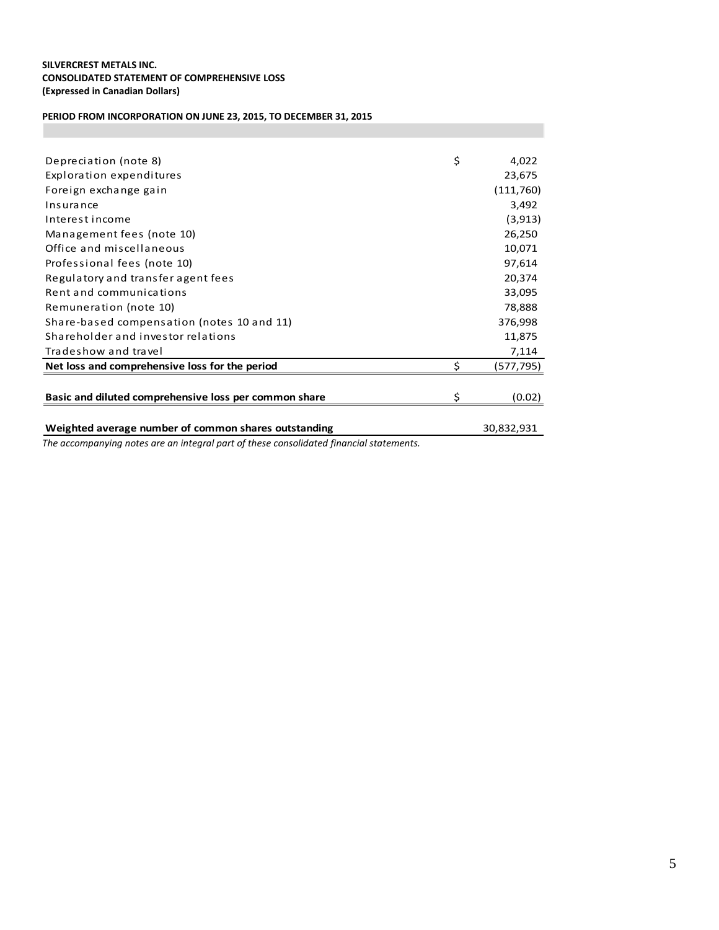## **SILVERCREST METALS INC. CONSOLIDATED STATEMENT OF COMPREHENSIVE LOSS (Expressed in Canadian Dollars)**

## **PERIOD FROM INCORPORATION ON JUNE 23, 2015, TO DECEMBER 31, 2015**

| Depreciation (note 8)                                 | \$<br>4,022     |
|-------------------------------------------------------|-----------------|
| Exploration expenditures                              | 23,675          |
| Foreign exchange gain                                 | (111,760)       |
| Insurance                                             | 3,492           |
| Interest income                                       | (3, 913)        |
| Management fees (note 10)                             | 26,250          |
| Office and miscellaneous                              | 10,071          |
| Professional fees (note 10)                           | 97,614          |
| Regulatory and transfer agent fees                    | 20,374          |
| Rent and communications                               | 33,095          |
| Remuneration (note 10)                                | 78,888          |
| Share-based compensation (notes 10 and 11)            | 376,998         |
| Shareholder and investor relations                    | 11,875          |
| Tradeshow and travel                                  | 7,114           |
| Net loss and comprehensive loss for the period        | \$<br>(577,795) |
|                                                       |                 |
| Basic and diluted comprehensive loss per common share | \$<br>(0.02)    |
|                                                       |                 |
| Weighted average number of common shares outstanding  | 30,832,931      |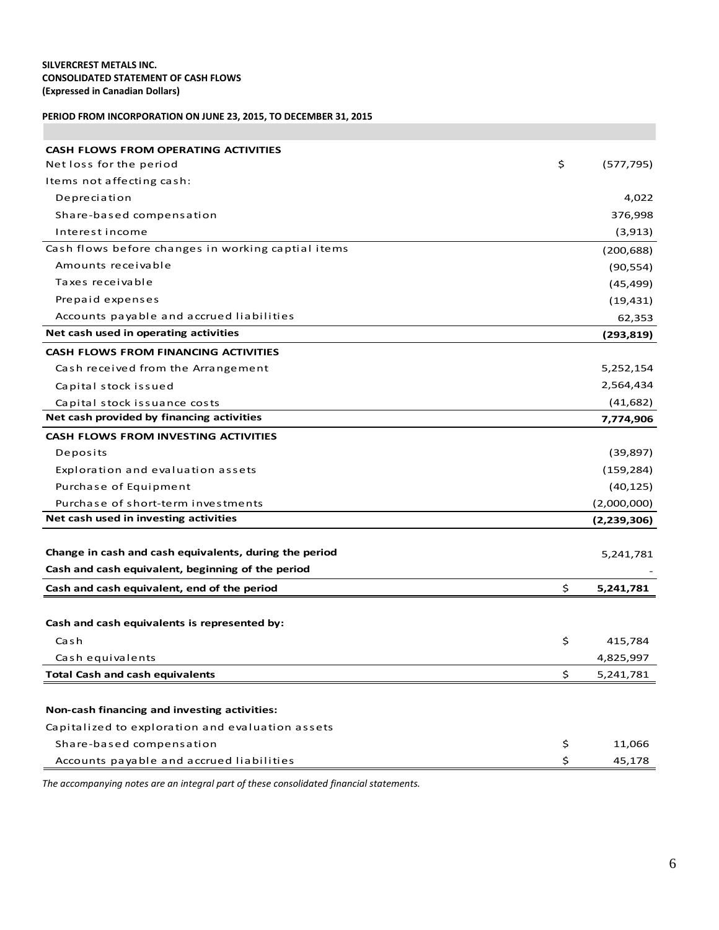## **SILVERCREST METALS INC. CONSOLIDATED STATEMENT OF CASH FLOWS (Expressed in Canadian Dollars)**

## **PERIOD FROM INCORPORATION ON JUNE 23, 2015, TO DECEMBER 31, 2015**

| <b>CASH FLOWS FROM OPERATING ACTIVITIES</b>            |                  |
|--------------------------------------------------------|------------------|
| Net loss for the period                                | \$<br>(577, 795) |
| Items not affecting cash:                              |                  |
| Depreciation                                           | 4,022            |
| Share-based compensation                               | 376,998          |
| Interest income                                        | (3, 913)         |
| Cash flows before changes in working captial items     | (200, 688)       |
| Amounts receivable                                     | (90, 554)        |
| Taxes receivable                                       | (45, 499)        |
| Prepaid expenses                                       | (19, 431)        |
| Accounts payable and accrued liabilities               | 62,353           |
| Net cash used in operating activities                  | (293, 819)       |
| <b>CASH FLOWS FROM FINANCING ACTIVITIES</b>            |                  |
| Cash received from the Arrangement                     | 5,252,154        |
| Capital stock issued                                   | 2,564,434        |
| Capital stock issuance costs                           | (41, 682)        |
| Net cash provided by financing activities              | 7,774,906        |
| <b>CASH FLOWS FROM INVESTING ACTIVITIES</b>            |                  |
| Deposits                                               | (39, 897)        |
| Exploration and evaluation assets                      | (159, 284)       |
| Purchase of Equipment                                  | (40, 125)        |
| Purchase of short-term investments                     | (2,000,000)      |
| Net cash used in investing activities                  | (2,239,306)      |
|                                                        |                  |
| Change in cash and cash equivalents, during the period | 5,241,781        |
| Cash and cash equivalent, beginning of the period      |                  |
| Cash and cash equivalent, end of the period            | \$<br>5,241,781  |
|                                                        |                  |
| Cash and cash equivalents is represented by:           |                  |
| Cash                                                   | \$<br>415,784    |
| Cash equivalents                                       | 4,825,997        |
| <b>Total Cash and cash equivalents</b>                 | \$<br>5,241,781  |
|                                                        |                  |
| Non-cash financing and investing activities:           |                  |
| Capitalized to exploration and evaluation assets       |                  |
| Share-based compensation                               | \$<br>11,066     |
| Accounts payable and accrued liabilities               | \$<br>45,178     |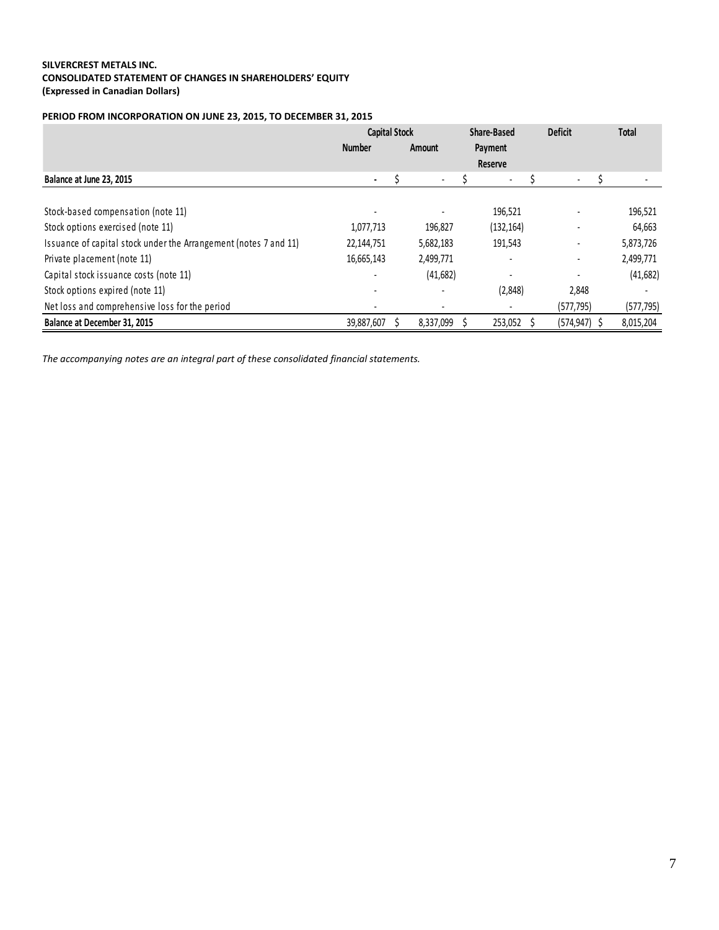## **SILVERCREST METALS INC. CONSOLIDATED STATEMENT OF CHANGES IN SHAREHOLDERS' EQUITY (Expressed in Canadian Dollars)**

## **PERIOD FROM INCORPORATION ON JUNE 23, 2015, TO DECEMBER 31, 2015**

|                                                                  | <b>Capital Stock</b> |               | <b>Share-Based</b> | <b>Deficit</b> | <b>Total</b> |
|------------------------------------------------------------------|----------------------|---------------|--------------------|----------------|--------------|
|                                                                  | <b>Number</b>        | <b>Amount</b> | Payment            |                |              |
|                                                                  |                      |               | <b>Reserve</b>     |                |              |
| Balance at June 23, 2015                                         |                      |               |                    |                |              |
|                                                                  |                      |               |                    |                |              |
| Stock-based compensation (note 11)                               |                      |               | 196,521            |                | 196,521      |
| Stock options exercised (note 11)                                | 1,077,713            | 196,827       | (132, 164)         |                | 64,663       |
| Issuance of capital stock under the Arrangement (notes 7 and 11) | 22,144,751           | 5,682,183     | 191,543            |                | 5,873,726    |
| Private placement (note 11)                                      | 16,665,143           | 2,499,771     | $\blacksquare$     |                | 2,499,771    |
| Capital stock issuance costs (note 11)                           |                      | (41, 682)     | $\blacksquare$     |                | (41, 682)    |
| Stock options expired (note 11)                                  |                      |               | (2,848)            | 2,848          |              |
| Net loss and comprehensive loss for the period                   |                      |               |                    | (577, 795)     | (577, 795)   |
| Balance at December 31, 2015                                     | 39,887,607           | 8,337,099     | 253,052            | (574, 947)     | 8,015,204    |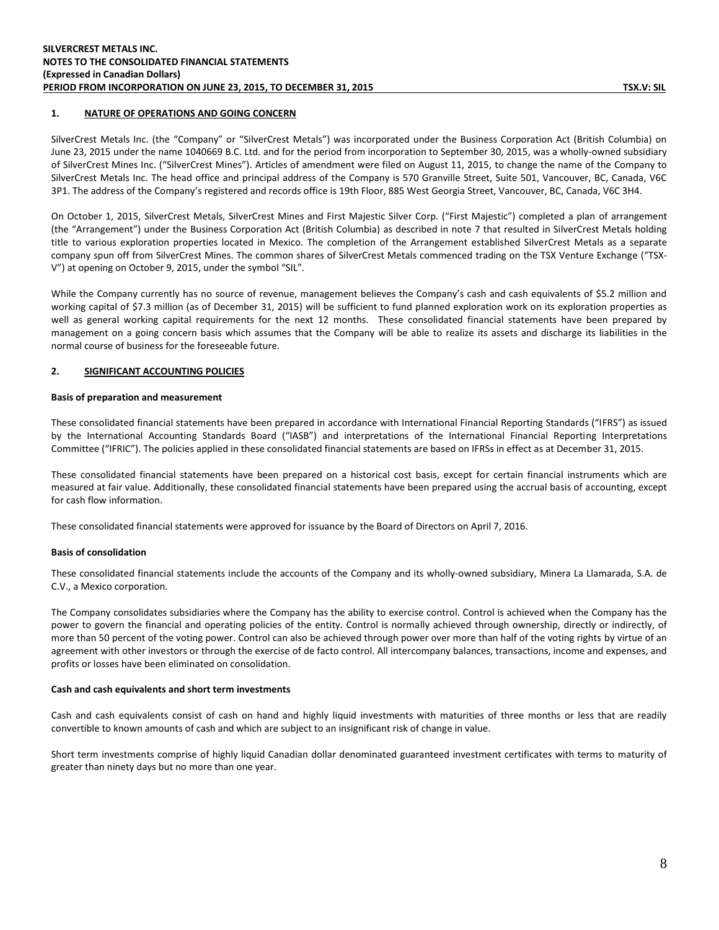## **1. NATURE OF OPERATIONS AND GOING CONCERN**

SilverCrest Metals Inc. (the "Company" or "SilverCrest Metals") was incorporated under the Business Corporation Act (British Columbia) on June 23, 2015 under the name 1040669 B.C. Ltd. and for the period from incorporation to September 30, 2015, was a wholly-owned subsidiary of SilverCrest Mines Inc. ("SilverCrest Mines"). Articles of amendment were filed on August 11, 2015, to change the name of the Company to SilverCrest Metals Inc. The head office and principal address of the Company is 570 Granville Street, Suite 501, Vancouver, BC, Canada, V6C 3P1. The address of the Company's registered and records office is 19th Floor, 885 West Georgia Street, Vancouver, BC, Canada, V6C 3H4.

On October 1, 2015, SilverCrest Metals, SilverCrest Mines and First Majestic Silver Corp. ("First Majestic") completed a plan of arrangement (the "Arrangement") under the Business Corporation Act (British Columbia) as described in note 7 that resulted in SilverCrest Metals holding title to various exploration properties located in Mexico. The completion of the Arrangement established SilverCrest Metals as a separate company spun off from SilverCrest Mines. The common shares of SilverCrest Metals commenced trading on the TSX Venture Exchange ("TSX-V") at opening on October 9, 2015, under the symbol "SIL".

While the Company currently has no source of revenue, management believes the Company's cash and cash equivalents of \$5.2 million and working capital of \$7.3 million (as of December 31, 2015) will be sufficient to fund planned exploration work on its exploration properties as well as general working capital requirements for the next 12 months. These consolidated financial statements have been prepared by management on a going concern basis which assumes that the Company will be able to realize its assets and discharge its liabilities in the normal course of business for the foreseeable future.

#### **2. SIGNIFICANT ACCOUNTING POLICIES**

#### **Basis of preparation and measurement**

These consolidated financial statements have been prepared in accordance with International Financial Reporting Standards ("IFRS") as issued by the International Accounting Standards Board ("IASB") and interpretations of the International Financial Reporting Interpretations Committee ("IFRIC"). The policies applied in these consolidated financial statements are based on IFRSs in effect as at December 31, 2015.

These consolidated financial statements have been prepared on a historical cost basis, except for certain financial instruments which are measured at fair value. Additionally, these consolidated financial statements have been prepared using the accrual basis of accounting, except for cash flow information.

These consolidated financial statements were approved for issuance by the Board of Directors on April 7, 2016.

#### **Basis of consolidation**

These consolidated financial statements include the accounts of the Company and its wholly-owned subsidiary, Minera La Llamarada, S.A. de C.V., a Mexico corporation.

The Company consolidates subsidiaries where the Company has the ability to exercise control. Control is achieved when the Company has the power to govern the financial and operating policies of the entity. Control is normally achieved through ownership, directly or indirectly, of more than 50 percent of the voting power. Control can also be achieved through power over more than half of the voting rights by virtue of an agreement with other investors or through the exercise of de facto control. All intercompany balances, transactions, income and expenses, and profits or losses have been eliminated on consolidation.

#### **Cash and cash equivalents and short term investments**

Cash and cash equivalents consist of cash on hand and highly liquid investments with maturities of three months or less that are readily convertible to known amounts of cash and which are subject to an insignificant risk of change in value.

Short term investments comprise of highly liquid Canadian dollar denominated guaranteed investment certificates with terms to maturity of greater than ninety days but no more than one year.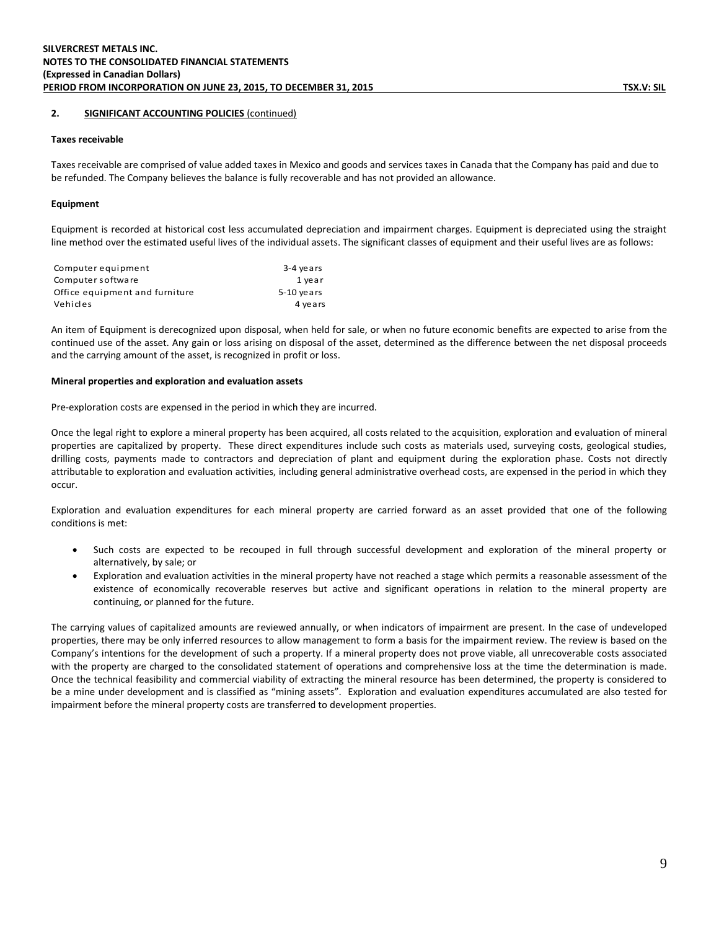#### **Taxes receivable**

Taxes receivable are comprised of value added taxes in Mexico and goods and services taxes in Canada that the Company has paid and due to be refunded. The Company believes the balance is fully recoverable and has not provided an allowance.

#### **Equipment**

Equipment is recorded at historical cost less accumulated depreciation and impairment charges. Equipment is depreciated using the straight line method over the estimated useful lives of the individual assets. The significant classes of equipment and their useful lives are as follows:

| Computer equipment             | $3-4$ years |
|--------------------------------|-------------|
| Computer software              | 1 vear      |
| Office equipment and furniture | 5-10 years  |
| Vehicles                       | 4 years     |

An item of Equipment is derecognized upon disposal, when held for sale, or when no future economic benefits are expected to arise from the continued use of the asset. Any gain or loss arising on disposal of the asset, determined as the difference between the net disposal proceeds and the carrying amount of the asset, is recognized in profit or loss.

#### **Mineral properties and exploration and evaluation assets**

Pre-exploration costs are expensed in the period in which they are incurred.

Once the legal right to explore a mineral property has been acquired, all costs related to the acquisition, exploration and evaluation of mineral properties are capitalized by property. These direct expenditures include such costs as materials used, surveying costs, geological studies, drilling costs, payments made to contractors and depreciation of plant and equipment during the exploration phase. Costs not directly attributable to exploration and evaluation activities, including general administrative overhead costs, are expensed in the period in which they occur.

Exploration and evaluation expenditures for each mineral property are carried forward as an asset provided that one of the following conditions is met:

- Such costs are expected to be recouped in full through successful development and exploration of the mineral property or alternatively, by sale; or
- Exploration and evaluation activities in the mineral property have not reached a stage which permits a reasonable assessment of the existence of economically recoverable reserves but active and significant operations in relation to the mineral property are continuing, or planned for the future.

The carrying values of capitalized amounts are reviewed annually, or when indicators of impairment are present. In the case of undeveloped properties, there may be only inferred resources to allow management to form a basis for the impairment review. The review is based on the Company's intentions for the development of such a property. If a mineral property does not prove viable, all unrecoverable costs associated with the property are charged to the consolidated statement of operations and comprehensive loss at the time the determination is made. Once the technical feasibility and commercial viability of extracting the mineral resource has been determined, the property is considered to be a mine under development and is classified as "mining assets". Exploration and evaluation expenditures accumulated are also tested for impairment before the mineral property costs are transferred to development properties.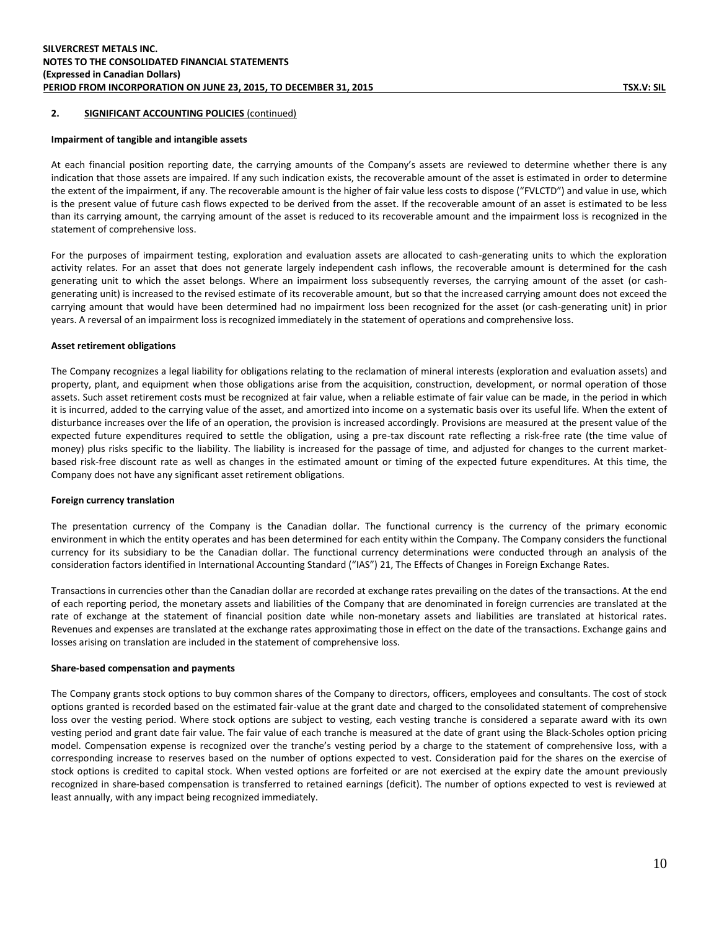#### **Impairment of tangible and intangible assets**

At each financial position reporting date, the carrying amounts of the Company's assets are reviewed to determine whether there is any indication that those assets are impaired. If any such indication exists, the recoverable amount of the asset is estimated in order to determine the extent of the impairment, if any. The recoverable amount is the higher of fair value less costs to dispose ("FVLCTD") and value in use, which is the present value of future cash flows expected to be derived from the asset. If the recoverable amount of an asset is estimated to be less than its carrying amount, the carrying amount of the asset is reduced to its recoverable amount and the impairment loss is recognized in the statement of comprehensive loss.

For the purposes of impairment testing, exploration and evaluation assets are allocated to cash-generating units to which the exploration activity relates. For an asset that does not generate largely independent cash inflows, the recoverable amount is determined for the cash generating unit to which the asset belongs. Where an impairment loss subsequently reverses, the carrying amount of the asset (or cashgenerating unit) is increased to the revised estimate of its recoverable amount, but so that the increased carrying amount does not exceed the carrying amount that would have been determined had no impairment loss been recognized for the asset (or cash-generating unit) in prior years. A reversal of an impairment loss is recognized immediately in the statement of operations and comprehensive loss.

#### **Asset retirement obligations**

The Company recognizes a legal liability for obligations relating to the reclamation of mineral interests (exploration and evaluation assets) and property, plant, and equipment when those obligations arise from the acquisition, construction, development, or normal operation of those assets. Such asset retirement costs must be recognized at fair value, when a reliable estimate of fair value can be made, in the period in which it is incurred, added to the carrying value of the asset, and amortized into income on a systematic basis over its useful life. When the extent of disturbance increases over the life of an operation, the provision is increased accordingly. Provisions are measured at the present value of the expected future expenditures required to settle the obligation, using a pre-tax discount rate reflecting a risk-free rate (the time value of money) plus risks specific to the liability. The liability is increased for the passage of time, and adjusted for changes to the current marketbased risk-free discount rate as well as changes in the estimated amount or timing of the expected future expenditures. At this time, the Company does not have any significant asset retirement obligations.

#### **Foreign currency translation**

The presentation currency of the Company is the Canadian dollar. The functional currency is the currency of the primary economic environment in which the entity operates and has been determined for each entity within the Company. The Company considers the functional currency for its subsidiary to be the Canadian dollar. The functional currency determinations were conducted through an analysis of the consideration factors identified in International Accounting Standard ("IAS") 21, The Effects of Changes in Foreign Exchange Rates.

Transactions in currencies other than the Canadian dollar are recorded at exchange rates prevailing on the dates of the transactions. At the end of each reporting period, the monetary assets and liabilities of the Company that are denominated in foreign currencies are translated at the rate of exchange at the statement of financial position date while non-monetary assets and liabilities are translated at historical rates. Revenues and expenses are translated at the exchange rates approximating those in effect on the date of the transactions. Exchange gains and losses arising on translation are included in the statement of comprehensive loss.

#### **Share-based compensation and payments**

The Company grants stock options to buy common shares of the Company to directors, officers, employees and consultants. The cost of stock options granted is recorded based on the estimated fair-value at the grant date and charged to the consolidated statement of comprehensive loss over the vesting period. Where stock options are subject to vesting, each vesting tranche is considered a separate award with its own vesting period and grant date fair value. The fair value of each tranche is measured at the date of grant using the Black-Scholes option pricing model. Compensation expense is recognized over the tranche's vesting period by a charge to the statement of comprehensive loss, with a corresponding increase to reserves based on the number of options expected to vest. Consideration paid for the shares on the exercise of stock options is credited to capital stock. When vested options are forfeited or are not exercised at the expiry date the amount previously recognized in share‐based compensation is transferred to retained earnings (deficit). The number of options expected to vest is reviewed at least annually, with any impact being recognized immediately.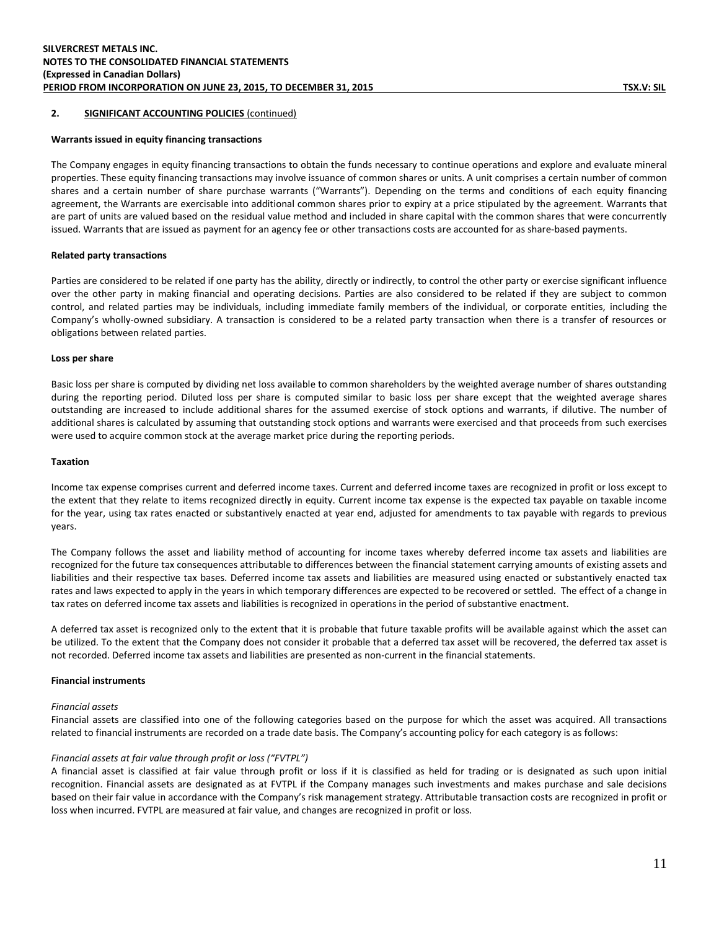#### **Warrants issued in equity financing transactions**

The Company engages in equity financing transactions to obtain the funds necessary to continue operations and explore and evaluate mineral properties. These equity financing transactions may involve issuance of common shares or units. A unit comprises a certain number of common shares and a certain number of share purchase warrants ("Warrants"). Depending on the terms and conditions of each equity financing agreement, the Warrants are exercisable into additional common shares prior to expiry at a price stipulated by the agreement. Warrants that are part of units are valued based on the residual value method and included in share capital with the common shares that were concurrently issued. Warrants that are issued as payment for an agency fee or other transactions costs are accounted for as share‐based payments.

#### **Related party transactions**

Parties are considered to be related if one party has the ability, directly or indirectly, to control the other party or exercise significant influence over the other party in making financial and operating decisions. Parties are also considered to be related if they are subject to common control, and related parties may be individuals, including immediate family members of the individual, or corporate entities, including the Company's wholly-owned subsidiary. A transaction is considered to be a related party transaction when there is a transfer of resources or obligations between related parties.

#### **Loss per share**

Basic loss per share is computed by dividing net loss available to common shareholders by the weighted average number of shares outstanding during the reporting period. Diluted loss per share is computed similar to basic loss per share except that the weighted average shares outstanding are increased to include additional shares for the assumed exercise of stock options and warrants, if dilutive. The number of additional shares is calculated by assuming that outstanding stock options and warrants were exercised and that proceeds from such exercises were used to acquire common stock at the average market price during the reporting periods.

#### **Taxation**

Income tax expense comprises current and deferred income taxes. Current and deferred income taxes are recognized in profit or loss except to the extent that they relate to items recognized directly in equity. Current income tax expense is the expected tax payable on taxable income for the year, using tax rates enacted or substantively enacted at year end, adjusted for amendments to tax payable with regards to previous years.

The Company follows the asset and liability method of accounting for income taxes whereby deferred income tax assets and liabilities are recognized for the future tax consequences attributable to differences between the financial statement carrying amounts of existing assets and liabilities and their respective tax bases. Deferred income tax assets and liabilities are measured using enacted or substantively enacted tax rates and laws expected to apply in the years in which temporary differences are expected to be recovered or settled. The effect of a change in tax rates on deferred income tax assets and liabilities is recognized in operations in the period of substantive enactment.

A deferred tax asset is recognized only to the extent that it is probable that future taxable profits will be available against which the asset can be utilized. To the extent that the Company does not consider it probable that a deferred tax asset will be recovered, the deferred tax asset is not recorded. Deferred income tax assets and liabilities are presented as non-current in the financial statements.

#### **Financial instruments**

#### *Financial assets*

Financial assets are classified into one of the following categories based on the purpose for which the asset was acquired. All transactions related to financial instruments are recorded on a trade date basis. The Company's accounting policy for each category is as follows:

#### *Financial assets at fair value through profit or loss ("FVTPL")*

A financial asset is classified at fair value through profit or loss if it is classified as held for trading or is designated as such upon initial recognition. Financial assets are designated as at FVTPL if the Company manages such investments and makes purchase and sale decisions based on their fair value in accordance with the Company's risk management strategy. Attributable transaction costs are recognized in profit or loss when incurred. FVTPL are measured at fair value, and changes are recognized in profit or loss.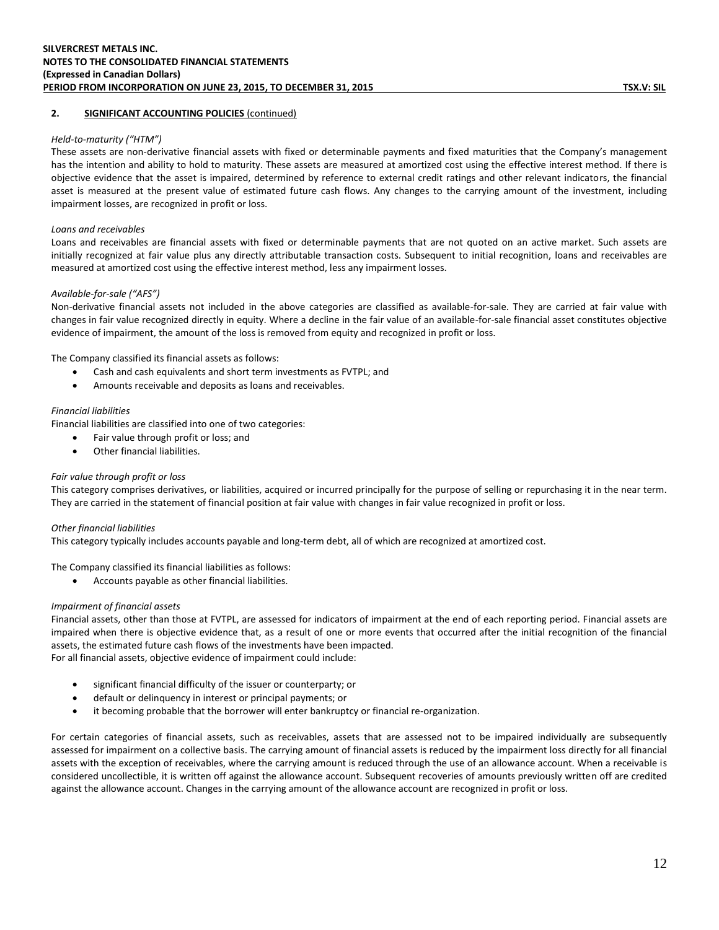#### *Held‐to‐maturity ("HTM")*

These assets are non‐derivative financial assets with fixed or determinable payments and fixed maturities that the Company's management has the intention and ability to hold to maturity. These assets are measured at amortized cost using the effective interest method. If there is objective evidence that the asset is impaired, determined by reference to external credit ratings and other relevant indicators, the financial asset is measured at the present value of estimated future cash flows. Any changes to the carrying amount of the investment, including impairment losses, are recognized in profit or loss.

### *Loans and receivables*

Loans and receivables are financial assets with fixed or determinable payments that are not quoted on an active market. Such assets are initially recognized at fair value plus any directly attributable transaction costs. Subsequent to initial recognition, loans and receivables are measured at amortized cost using the effective interest method, less any impairment losses.

#### *Available‐for‐sale ("AFS")*

Non-derivative financial assets not included in the above categories are classified as available-for-sale. They are carried at fair value with changes in fair value recognized directly in equity. Where a decline in the fair value of an available‐for‐sale financial asset constitutes objective evidence of impairment, the amount of the loss is removed from equity and recognized in profit or loss.

The Company classified its financial assets as follows:

- Cash and cash equivalents and short term investments as FVTPL; and
- Amounts receivable and deposits as loans and receivables.

#### *Financial liabilities*

Financial liabilities are classified into one of two categories:

- Fair value through profit or loss; and
- Other financial liabilities.

## *Fair value through profit or loss*

This category comprises derivatives, or liabilities, acquired or incurred principally for the purpose of selling or repurchasing it in the near term. They are carried in the statement of financial position at fair value with changes in fair value recognized in profit or loss.

#### *Other financial liabilities*

This category typically includes accounts payable and long-term debt, all of which are recognized at amortized cost.

The Company classified its financial liabilities as follows:

Accounts payable as other financial liabilities.

#### *Impairment of financial assets*

Financial assets, other than those at FVTPL, are assessed for indicators of impairment at the end of each reporting period. Financial assets are impaired when there is objective evidence that, as a result of one or more events that occurred after the initial recognition of the financial assets, the estimated future cash flows of the investments have been impacted. For all financial assets, objective evidence of impairment could include:

- significant financial difficulty of the issuer or counterparty; or
- default or delinquency in interest or principal payments; or
- it becoming probable that the borrower will enter bankruptcy or financial re‐organization.

For certain categories of financial assets, such as receivables, assets that are assessed not to be impaired individually are subsequently assessed for impairment on a collective basis. The carrying amount of financial assets is reduced by the impairment loss directly for all financial assets with the exception of receivables, where the carrying amount is reduced through the use of an allowance account. When a receivable is considered uncollectible, it is written off against the allowance account. Subsequent recoveries of amounts previously written off are credited against the allowance account. Changes in the carrying amount of the allowance account are recognized in profit or loss.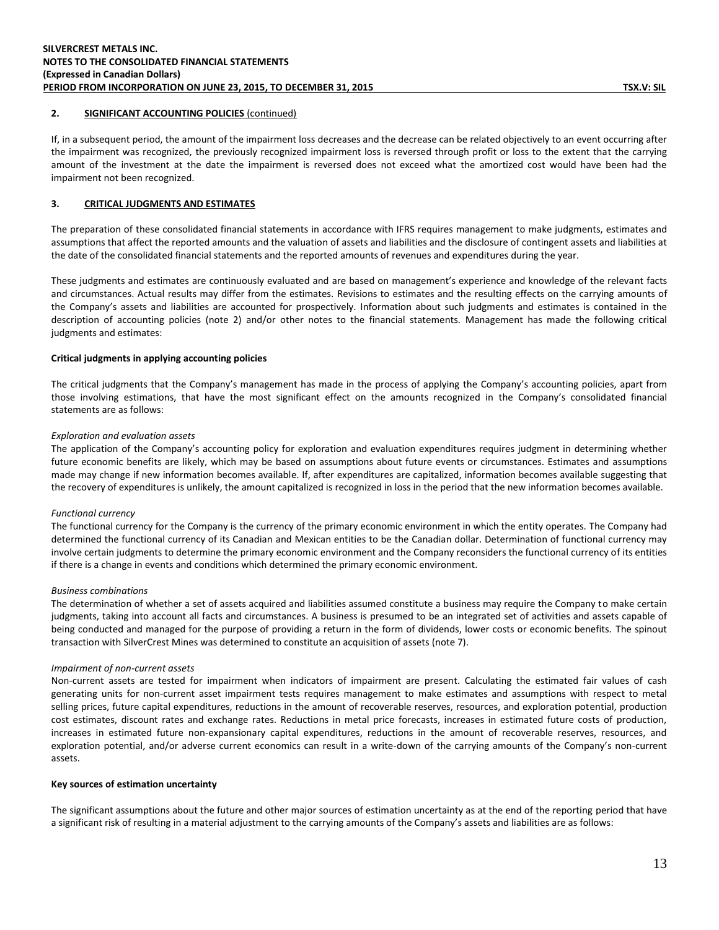If, in a subsequent period, the amount of the impairment loss decreases and the decrease can be related objectively to an event occurring after the impairment was recognized, the previously recognized impairment loss is reversed through profit or loss to the extent that the carrying amount of the investment at the date the impairment is reversed does not exceed what the amortized cost would have been had the impairment not been recognized.

## **3. CRITICAL JUDGMENTS AND ESTIMATES**

The preparation of these consolidated financial statements in accordance with IFRS requires management to make judgments, estimates and assumptions that affect the reported amounts and the valuation of assets and liabilities and the disclosure of contingent assets and liabilities at the date of the consolidated financial statements and the reported amounts of revenues and expenditures during the year.

These judgments and estimates are continuously evaluated and are based on management's experience and knowledge of the relevant facts and circumstances. Actual results may differ from the estimates. Revisions to estimates and the resulting effects on the carrying amounts of the Company's assets and liabilities are accounted for prospectively. Information about such judgments and estimates is contained in the description of accounting policies (note 2) and/or other notes to the financial statements. Management has made the following critical judgments and estimates:

#### **Critical judgments in applying accounting policies**

The critical judgments that the Company's management has made in the process of applying the Company's accounting policies, apart from those involving estimations, that have the most significant effect on the amounts recognized in the Company's consolidated financial statements are as follows:

#### *Exploration and evaluation assets*

The application of the Company's accounting policy for exploration and evaluation expenditures requires judgment in determining whether future economic benefits are likely, which may be based on assumptions about future events or circumstances. Estimates and assumptions made may change if new information becomes available. If, after expenditures are capitalized, information becomes available suggesting that the recovery of expenditures is unlikely, the amount capitalized is recognized in loss in the period that the new information becomes available.

#### *Functional currency*

The functional currency for the Company is the currency of the primary economic environment in which the entity operates. The Company had determined the functional currency of its Canadian and Mexican entities to be the Canadian dollar. Determination of functional currency may involve certain judgments to determine the primary economic environment and the Company reconsiders the functional currency of its entities if there is a change in events and conditions which determined the primary economic environment.

#### *Business combinations*

The determination of whether a set of assets acquired and liabilities assumed constitute a business may require the Company to make certain judgments, taking into account all facts and circumstances. A business is presumed to be an integrated set of activities and assets capable of being conducted and managed for the purpose of providing a return in the form of dividends, lower costs or economic benefits. The spinout transaction with SilverCrest Mines was determined to constitute an acquisition of assets (note 7).

#### *Impairment of non-current assets*

Non-current assets are tested for impairment when indicators of impairment are present. Calculating the estimated fair values of cash generating units for non-current asset impairment tests requires management to make estimates and assumptions with respect to metal selling prices, future capital expenditures, reductions in the amount of recoverable reserves, resources, and exploration potential, production cost estimates, discount rates and exchange rates. Reductions in metal price forecasts, increases in estimated future costs of production, increases in estimated future non-expansionary capital expenditures, reductions in the amount of recoverable reserves, resources, and exploration potential, and/or adverse current economics can result in a write-down of the carrying amounts of the Company's non-current assets.

#### **Key sources of estimation uncertainty**

The significant assumptions about the future and other major sources of estimation uncertainty as at the end of the reporting period that have a significant risk of resulting in a material adjustment to the carrying amounts of the Company's assets and liabilities are as follows: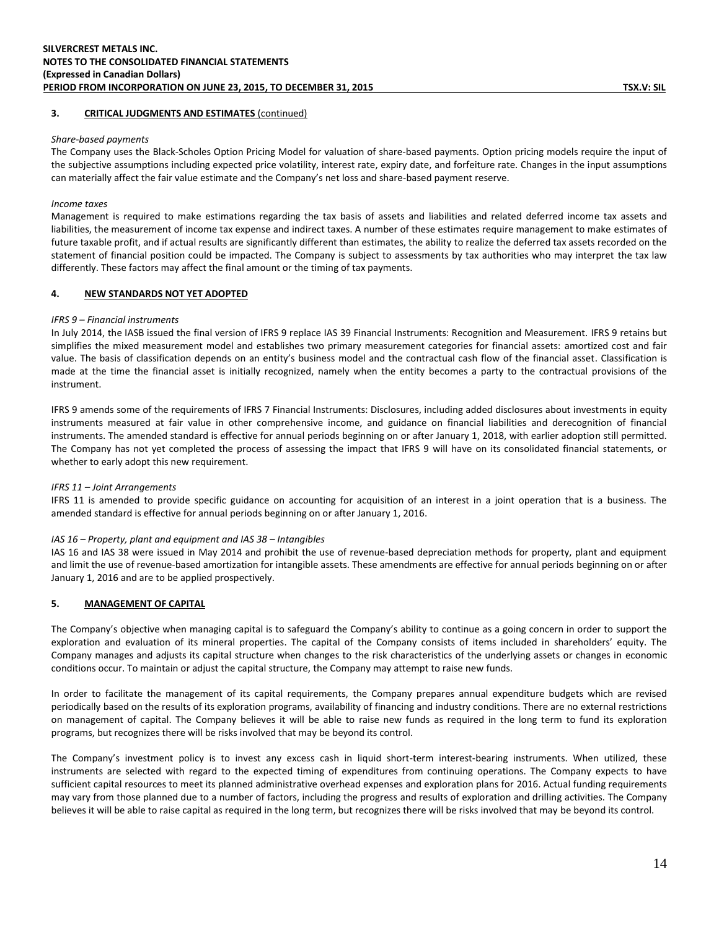## **3. CRITICAL JUDGMENTS AND ESTIMATES** (continued)

#### *Share-based payments*

The Company uses the Black-Scholes Option Pricing Model for valuation of share-based payments. Option pricing models require the input of the subjective assumptions including expected price volatility, interest rate, expiry date, and forfeiture rate. Changes in the input assumptions can materially affect the fair value estimate and the Company's net loss and share-based payment reserve.

#### *Income taxes*

Management is required to make estimations regarding the tax basis of assets and liabilities and related deferred income tax assets and liabilities, the measurement of income tax expense and indirect taxes. A number of these estimates require management to make estimates of future taxable profit, and if actual results are significantly different than estimates, the ability to realize the deferred tax assets recorded on the statement of financial position could be impacted. The Company is subject to assessments by tax authorities who may interpret the tax law differently. These factors may affect the final amount or the timing of tax payments.

## **4. NEW STANDARDS NOT YET ADOPTED**

#### *IFRS 9 – Financial instruments*

In July 2014, the IASB issued the final version of IFRS 9 replace IAS 39 Financial Instruments: Recognition and Measurement. IFRS 9 retains but simplifies the mixed measurement model and establishes two primary measurement categories for financial assets: amortized cost and fair value. The basis of classification depends on an entity's business model and the contractual cash flow of the financial asset. Classification is made at the time the financial asset is initially recognized, namely when the entity becomes a party to the contractual provisions of the instrument.

IFRS 9 amends some of the requirements of IFRS 7 Financial Instruments: Disclosures, including added disclosures about investments in equity instruments measured at fair value in other comprehensive income, and guidance on financial liabilities and derecognition of financial instruments. The amended standard is effective for annual periods beginning on or after January 1, 2018, with earlier adoption still permitted. The Company has not yet completed the process of assessing the impact that IFRS 9 will have on its consolidated financial statements, or whether to early adopt this new requirement.

## *IFRS 11 – Joint Arrangements*

IFRS 11 is amended to provide specific guidance on accounting for acquisition of an interest in a joint operation that is a business. The amended standard is effective for annual periods beginning on or after January 1, 2016.

#### *IAS 16 – Property, plant and equipment and IAS 38 – Intangibles*

IAS 16 and IAS 38 were issued in May 2014 and prohibit the use of revenue-based depreciation methods for property, plant and equipment and limit the use of revenue-based amortization for intangible assets. These amendments are effective for annual periods beginning on or after January 1, 2016 and are to be applied prospectively.

### **5. MANAGEMENT OF CAPITAL**

The Company's objective when managing capital is to safeguard the Company's ability to continue as a going concern in order to support the exploration and evaluation of its mineral properties. The capital of the Company consists of items included in shareholders' equity. The Company manages and adjusts its capital structure when changes to the risk characteristics of the underlying assets or changes in economic conditions occur. To maintain or adjust the capital structure, the Company may attempt to raise new funds.

In order to facilitate the management of its capital requirements, the Company prepares annual expenditure budgets which are revised periodically based on the results of its exploration programs, availability of financing and industry conditions. There are no external restrictions on management of capital. The Company believes it will be able to raise new funds as required in the long term to fund its exploration programs, but recognizes there will be risks involved that may be beyond its control.

The Company's investment policy is to invest any excess cash in liquid short-term interest-bearing instruments. When utilized, these instruments are selected with regard to the expected timing of expenditures from continuing operations. The Company expects to have sufficient capital resources to meet its planned administrative overhead expenses and exploration plans for 2016. Actual funding requirements may vary from those planned due to a number of factors, including the progress and results of exploration and drilling activities. The Company believes it will be able to raise capital as required in the long term, but recognizes there will be risks involved that may be beyond its control.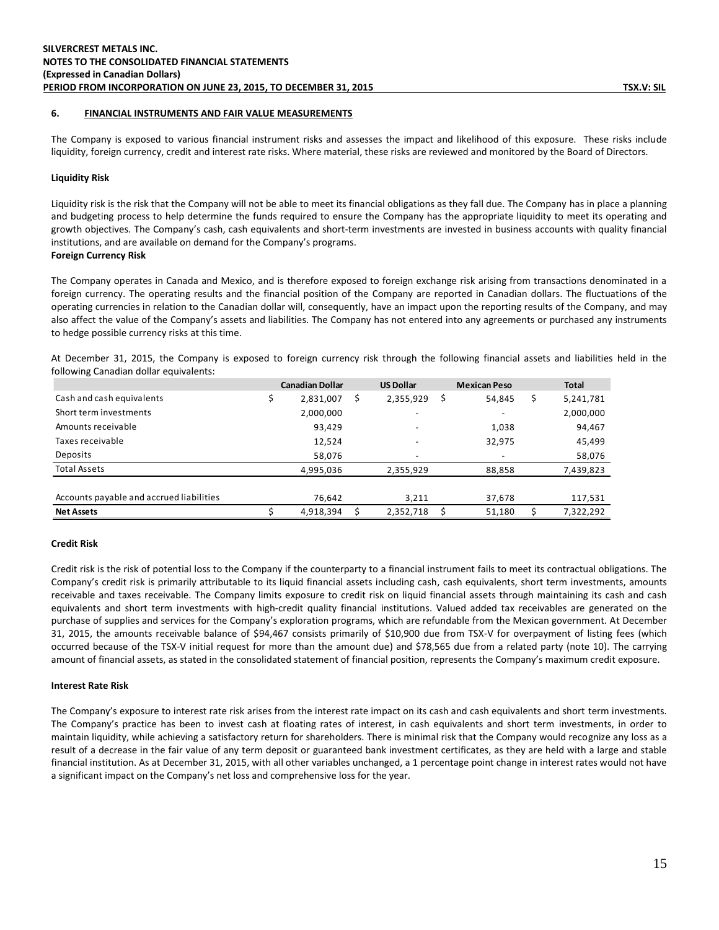### **6. FINANCIAL INSTRUMENTS AND FAIR VALUE MEASUREMENTS**

The Company is exposed to various financial instrument risks and assesses the impact and likelihood of this exposure. These risks include liquidity, foreign currency, credit and interest rate risks. Where material, these risks are reviewed and monitored by the Board of Directors.

### **Liquidity Risk**

Liquidity risk is the risk that the Company will not be able to meet its financial obligations as they fall due. The Company has in place a planning and budgeting process to help determine the funds required to ensure the Company has the appropriate liquidity to meet its operating and growth objectives. The Company's cash, cash equivalents and short-term investments are invested in business accounts with quality financial institutions, and are available on demand for the Company's programs.

**Foreign Currency Risk**

The Company operates in Canada and Mexico, and is therefore exposed to foreign exchange risk arising from transactions denominated in a foreign currency. The operating results and the financial position of the Company are reported in Canadian dollars. The fluctuations of the operating currencies in relation to the Canadian dollar will, consequently, have an impact upon the reporting results of the Company, and may also affect the value of the Company's assets and liabilities. The Company has not entered into any agreements or purchased any instruments to hedge possible currency risks at this time.

At December 31, 2015, the Company is exposed to foreign currency risk through the following financial assets and liabilities held in the following Canadian dollar equivalents:

|                                          | <b>Canadian Dollar</b> | <b>US Dollar</b>         | <b>Mexican Peso</b>      | <b>Total</b>    |
|------------------------------------------|------------------------|--------------------------|--------------------------|-----------------|
| Cash and cash equivalents                | 2,831,007              | 2,355,929                | \$<br>54,845             | \$<br>5,241,781 |
| Short term investments                   | 2,000,000              |                          | $\overline{\phantom{a}}$ | 2,000,000       |
| Amounts receivable                       | 93,429                 |                          | 1,038                    | 94,467          |
| Taxes receivable                         | 12,524                 |                          | 32,975                   | 45,499          |
| Deposits                                 | 58,076                 | $\overline{\phantom{0}}$ | $\overline{\phantom{a}}$ | 58,076          |
| <b>Total Assets</b>                      | 4,995,036              | 2,355,929                | 88,858                   | 7,439,823       |
|                                          |                        |                          |                          |                 |
| Accounts payable and accrued liabilities | 76.642                 | 3,211                    | 37,678                   | 117,531         |
| <b>Net Assets</b>                        | 4,918,394              | 2.352.718                | 51,180                   | 7.322.292       |

#### **Credit Risk**

Credit risk is the risk of potential loss to the Company if the counterparty to a financial instrument fails to meet its contractual obligations. The Company's credit risk is primarily attributable to its liquid financial assets including cash, cash equivalents, short term investments, amounts receivable and taxes receivable. The Company limits exposure to credit risk on liquid financial assets through maintaining its cash and cash equivalents and short term investments with high-credit quality financial institutions. Valued added tax receivables are generated on the purchase of supplies and services for the Company's exploration programs, which are refundable from the Mexican government. At December 31, 2015, the amounts receivable balance of \$94,467 consists primarily of \$10,900 due from TSX-V for overpayment of listing fees (which occurred because of the TSX-V initial request for more than the amount due) and \$78,565 due from a related party (note 10). The carrying amount of financial assets, as stated in the consolidated statement of financial position, represents the Company's maximum credit exposure.

#### **Interest Rate Risk**

The Company's exposure to interest rate risk arises from the interest rate impact on its cash and cash equivalents and short term investments. The Company's practice has been to invest cash at floating rates of interest, in cash equivalents and short term investments, in order to maintain liquidity, while achieving a satisfactory return for shareholders. There is minimal risk that the Company would recognize any loss as a result of a decrease in the fair value of any term deposit or guaranteed bank investment certificates, as they are held with a large and stable financial institution. As at December 31, 2015, with all other variables unchanged, a 1 percentage point change in interest rates would not have a significant impact on the Company's net loss and comprehensive loss for the year.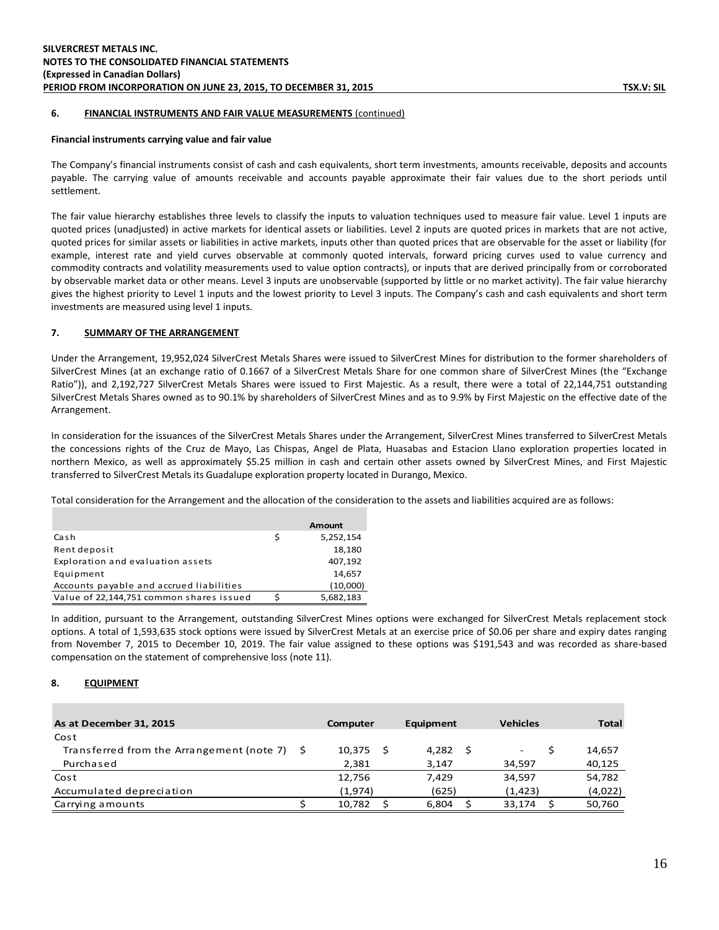#### **6. FINANCIAL INSTRUMENTS AND FAIR VALUE MEASUREMENTS** (continued)

#### **Financial instruments carrying value and fair value**

The Company's financial instruments consist of cash and cash equivalents, short term investments, amounts receivable, deposits and accounts payable. The carrying value of amounts receivable and accounts payable approximate their fair values due to the short periods until settlement.

The fair value hierarchy establishes three levels to classify the inputs to valuation techniques used to measure fair value. Level 1 inputs are quoted prices (unadjusted) in active markets for identical assets or liabilities. Level 2 inputs are quoted prices in markets that are not active, quoted prices for similar assets or liabilities in active markets, inputs other than quoted prices that are observable for the asset or liability (for example, interest rate and yield curves observable at commonly quoted intervals, forward pricing curves used to value currency and commodity contracts and volatility measurements used to value option contracts), or inputs that are derived principally from or corroborated by observable market data or other means. Level 3 inputs are unobservable (supported by little or no market activity). The fair value hierarchy gives the highest priority to Level 1 inputs and the lowest priority to Level 3 inputs. The Company's cash and cash equivalents and short term investments are measured using level 1 inputs.

#### **7. SUMMARY OF THE ARRANGEMENT**

Under the Arrangement, 19,952,024 SilverCrest Metals Shares were issued to SilverCrest Mines for distribution to the former shareholders of SilverCrest Mines (at an exchange ratio of 0.1667 of a SilverCrest Metals Share for one common share of SilverCrest Mines (the "Exchange Ratio")), and 2,192,727 SilverCrest Metals Shares were issued to First Majestic. As a result, there were a total of 22,144,751 outstanding SilverCrest Metals Shares owned as to 90.1% by shareholders of SilverCrest Mines and as to 9.9% by First Majestic on the effective date of the Arrangement.

In consideration for the issuances of the SilverCrest Metals Shares under the Arrangement, SilverCrest Mines transferred to SilverCrest Metals the concessions rights of the Cruz de Mayo, Las Chispas, Angel de Plata, Huasabas and Estacion Llano exploration properties located in northern Mexico, as well as approximately \$5.25 million in cash and certain other assets owned by SilverCrest Mines, and First Majestic transferred to SilverCrest Metals its Guadalupe exploration property located in Durango, Mexico.

Total consideration for the Arrangement and the allocation of the consideration to the assets and liabilities acquired are as follows:

|                                          |   | Amount    |
|------------------------------------------|---|-----------|
| Cash                                     | Ś | 5,252,154 |
| Rent deposit                             |   | 18,180    |
| Exploration and evaluation assets        |   | 407,192   |
| Equipment                                |   | 14,657    |
| Accounts payable and accrued liabilities |   | (10,000)  |
| Value of 22,144,751 common shares issued |   | 5,682,183 |

In addition, pursuant to the Arrangement, outstanding SilverCrest Mines options were exchanged for SilverCrest Metals replacement stock options. A total of 1,593,635 stock options were issued by SilverCrest Metals at an exercise price of \$0.06 per share and expiry dates ranging from November 7, 2015 to December 10, 2019. The fair value assigned to these options was \$191,543 and was recorded as share-based compensation on the statement of comprehensive loss (note 11).

#### **8. EQUIPMENT**

| As at December 31, 2015                           | Computer | Equipment | <b>Vehicles</b>          | <b>Total</b> |
|---------------------------------------------------|----------|-----------|--------------------------|--------------|
| Cost                                              |          |           |                          |              |
| Transferred from the Arrangement (note 7) $\oint$ | 10.375   | 4,282 \$  | $\overline{\phantom{a}}$ | 14,657       |
| Purchased                                         | 2,381    | 3,147     | 34,597                   | 40,125       |
| Cost                                              | 12,756   | 7.429     | 34,597                   | 54,782       |
| Accumulated depreciation                          | (1,974)  | (625)     | (1, 423)                 | (4,022)      |
| Carrying amounts                                  | 10,782   | 6.804     | 33,174                   | 50,760       |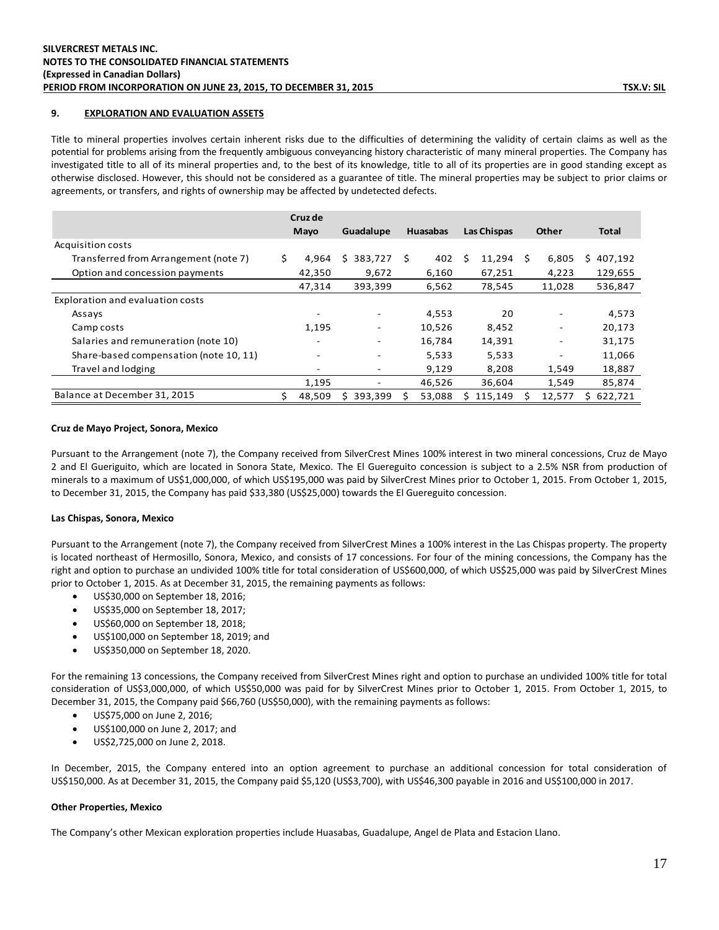### **9. EXPLORATION AND EVALUATION ASSETS**

Title to mineral properties involves certain inherent risks due to the difficulties of determining the validity of certain claims as well as the potential for problems arising from the frequently ambiguous conveyancing history characteristic of many mineral properties. The Company has investigated title to all of its mineral properties and, to the best of its knowledge, title to all of its properties are in good standing except as otherwise disclosed. However, this should not be considered as a guarantee of title. The mineral properties may be subject to prior claims or agreements, or transfers, and rights of ownership may be affected by undetected defects.

|                                        |   | Cruz de |                          |   |                 |   |             |   |              |    |              |
|----------------------------------------|---|---------|--------------------------|---|-----------------|---|-------------|---|--------------|----|--------------|
|                                        |   | Mayo    | Guadalupe                |   | <b>Huasabas</b> |   | Las Chispas |   | <b>Other</b> |    | <b>Total</b> |
| Acquisition costs                      |   |         |                          |   |                 |   |             |   |              |    |              |
| Transferred from Arrangement (note 7)  | Ś | 4.964   | 383,727<br>S.            | S | 402             | S | 11,294      | S | 6.805        | S. | 407,192      |
| Option and concession payments         |   | 42,350  | 9,672                    |   | 6,160           |   | 67,251      |   | 4,223        |    | 129,655      |
|                                        |   | 47,314  | 393,399                  |   | 6,562           |   | 78,545      |   | 11,028       |    | 536,847      |
| Exploration and evaluation costs       |   |         |                          |   |                 |   |             |   |              |    |              |
| Assays                                 |   |         |                          |   | 4,553           |   | 20          |   |              |    | 4,573        |
| Camp costs                             |   | 1,195   | $\overline{\phantom{0}}$ |   | 10,526          |   | 8,452       |   |              |    | 20,173       |
| Salaries and remuneration (note 10)    |   |         | $\overline{\phantom{0}}$ |   | 16.784          |   | 14,391      |   |              |    | 31,175       |
| Share-based compensation (note 10, 11) |   |         |                          |   | 5,533           |   | 5,533       |   |              |    | 11,066       |
| Travel and lodging                     |   |         | $\qquad \qquad$          |   | 9,129           |   | 8,208       |   | 1,549        |    | 18,887       |
|                                        |   | 1,195   |                          |   | 46,526          |   | 36,604      |   | 1,549        |    | 85,874       |
| Balance at December 31, 2015           |   | 48,509  | 393,399                  |   | 53,088          |   | 115,149     |   | 12,577       |    | 622,721      |

#### **Cruz de Mayo Project, Sonora, Mexico**

Pursuant to the Arrangement (note 7), the Company received from SilverCrest Mines 100% interest in two mineral concessions, Cruz de Mayo 2 and El Gueriguito, which are located in Sonora State, Mexico. The El Guereguito concession is subject to a 2.5% NSR from production of minerals to a maximum of US\$1,000,000, of which US\$195,000 was paid by SilverCrest Mines prior to October 1, 2015. From October 1, 2015, to December 31, 2015, the Company has paid \$33,380 (US\$25,000) towards the El Guereguito concession.

#### **Las Chispas, Sonora, Mexico**

Pursuant to the Arrangement (note 7), the Company received from SilverCrest Mines a 100% interest in the Las Chispas property. The property is located northeast of Hermosillo, Sonora, Mexico, and consists of 17 concessions. For four of the mining concessions, the Company has the right and option to purchase an undivided 100% title for total consideration of US\$600,000, of which US\$25,000 was paid by SilverCrest Mines prior to October 1, 2015. As at December 31, 2015, the remaining payments as follows:

- US\$30,000 on September 18, 2016;
- US\$35,000 on September 18, 2017;
- US\$60,000 on September 18, 2018;
- US\$100,000 on September 18, 2019; and
- US\$350,000 on September 18, 2020.

For the remaining 13 concessions, the Company received from SilverCrest Mines right and option to purchase an undivided 100% title for total consideration of US\$3,000,000, of which US\$50,000 was paid for by SilverCrest Mines prior to October 1, 2015. From October 1, 2015, to December 31, 2015, the Company paid \$66,760 (US\$50,000), with the remaining payments as follows:

- US\$75,000 on June 2, 2016;
- US\$100,000 on June 2, 2017; and
- US\$2,725,000 on June 2, 2018.

In December, 2015, the Company entered into an option agreement to purchase an additional concession for total consideration of US\$150,000. As at December 31, 2015, the Company paid \$5,120 (US\$3,700), with US\$46,300 payable in 2016 and US\$100,000 in 2017.

#### **Other Properties, Mexico**

The Company's other Mexican exploration properties include Huasabas, Guadalupe, Angel de Plata and Estacion Llano.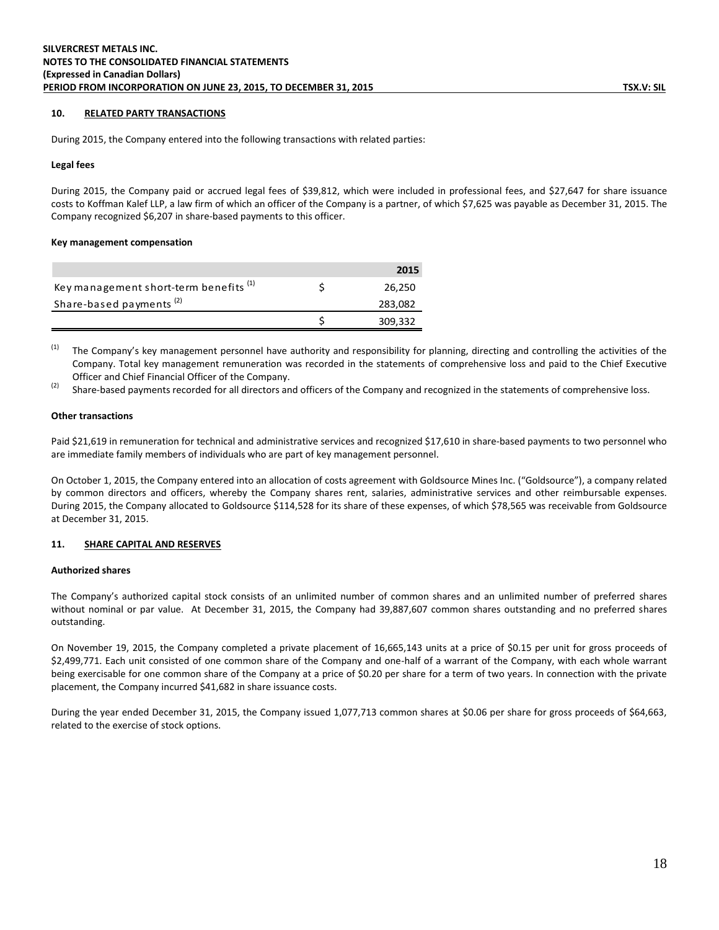### **10. RELATED PARTY TRANSACTIONS**

During 2015, the Company entered into the following transactions with related parties:

#### **Legal fees**

During 2015, the Company paid or accrued legal fees of \$39,812, which were included in professional fees, and \$27,647 for share issuance costs to Koffman Kalef LLP, a law firm of which an officer of the Company is a partner, of which \$7,625 was payable as December 31, 2015. The Company recognized \$6,207 in share-based payments to this officer.

#### **Key management compensation**

|                                                   | 2015    |
|---------------------------------------------------|---------|
| Key management short-term benefits <sup>(1)</sup> | 26.250  |
| Share-based payments <sup>(2)</sup>               | 283,082 |
|                                                   | 309,332 |

<sup>(1)</sup> The Company's key management personnel have authority and responsibility for planning, directing and controlling the activities of the Company. Total key management remuneration was recorded in the statements of comprehensive loss and paid to the Chief Executive Officer and Chief Financial Officer of the Company.

 $(2)$  Share-based payments recorded for all directors and officers of the Company and recognized in the statements of comprehensive loss.

#### **Other transactions**

Paid \$21,619 in remuneration for technical and administrative services and recognized \$17,610 in share-based payments to two personnel who are immediate family members of individuals who are part of key management personnel.

On October 1, 2015, the Company entered into an allocation of costs agreement with Goldsource Mines Inc. ("Goldsource"), a company related by common directors and officers, whereby the Company shares rent, salaries, administrative services and other reimbursable expenses. During 2015, the Company allocated to Goldsource \$114,528 for its share of these expenses, of which \$78,565 was receivable from Goldsource at December 31, 2015.

#### **11. SHARE CAPITAL AND RESERVES**

#### **Authorized shares**

The Company's authorized capital stock consists of an unlimited number of common shares and an unlimited number of preferred shares without nominal or par value. At December 31, 2015, the Company had 39,887,607 common shares outstanding and no preferred shares outstanding.

On November 19, 2015, the Company completed a private placement of 16,665,143 units at a price of \$0.15 per unit for gross proceeds of \$2,499,771. Each unit consisted of one common share of the Company and one-half of a warrant of the Company, with each whole warrant being exercisable for one common share of the Company at a price of \$0.20 per share for a term of two years. In connection with the private placement, the Company incurred \$41,682 in share issuance costs.

During the year ended December 31, 2015, the Company issued 1,077,713 common shares at \$0.06 per share for gross proceeds of \$64,663, related to the exercise of stock options.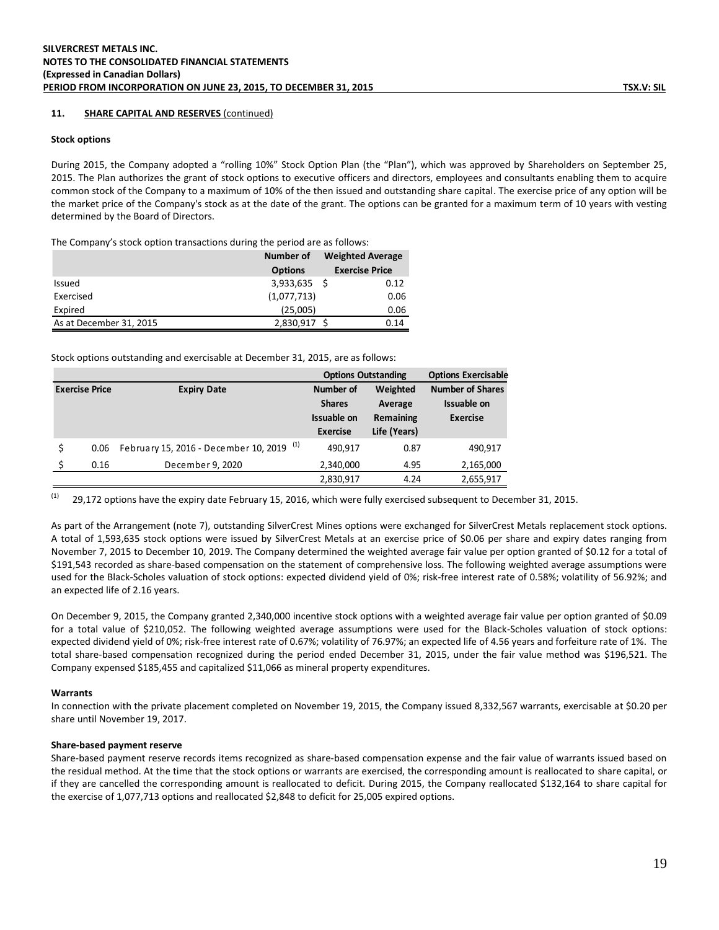### **11. SHARE CAPITAL AND RESERVES** (continued)

#### **Stock options**

During 2015, the Company adopted a "rolling 10%" Stock Option Plan (the "Plan"), which was approved by Shareholders on September 25, 2015. The Plan authorizes the grant of stock options to executive officers and directors, employees and consultants enabling them to acquire common stock of the Company to a maximum of 10% of the then issued and outstanding share capital. The exercise price of any option will be the market price of the Company's stock as at the date of the grant. The options can be granted for a maximum term of 10 years with vesting determined by the Board of Directors.

The Company's stock option transactions during the period are as follows:

|                         | Number of      | <b>Weighted Average</b> |
|-------------------------|----------------|-------------------------|
|                         | <b>Options</b> | <b>Exercise Price</b>   |
| Issued                  | $3,933,635$ \$ | 0.12                    |
| Exercised               | (1,077,713)    | 0.06                    |
| Expired                 | (25,005)       | 0.06                    |
| As at December 31, 2015 | 2,830,917      | 0.14                    |

Stock options outstanding and exercisable at December 31, 2015, are as follows:

|                       | <b>Options Outstanding</b> |                                                      |                              | <b>Options Exercisable</b> |                                |  |
|-----------------------|----------------------------|------------------------------------------------------|------------------------------|----------------------------|--------------------------------|--|
| <b>Exercise Price</b> |                            | <b>Expiry Date</b>                                   | Number of                    | Weighted                   | <b>Number of Shares</b>        |  |
|                       |                            |                                                      | <b>Shares</b><br>Issuable on | Average<br>Remaining       | Issuable on<br><b>Exercise</b> |  |
|                       |                            |                                                      | <b>Exercise</b>              | Life (Years)               |                                |  |
| \$                    | 0.06                       | February 15, 2016 - December 10, 2019 <sup>(1)</sup> | 490.917                      | 0.87                       | 490,917                        |  |
|                       | 0.16                       | December 9, 2020                                     | 2,340,000                    | 4.95                       | 2,165,000                      |  |
|                       |                            |                                                      | 2,830,917                    | 4.24                       | 2,655,917                      |  |

 $(1)$  29,172 options have the expiry date February 15, 2016, which were fully exercised subsequent to December 31, 2015.

As part of the Arrangement (note 7), outstanding SilverCrest Mines options were exchanged for SilverCrest Metals replacement stock options. A total of 1,593,635 stock options were issued by SilverCrest Metals at an exercise price of \$0.06 per share and expiry dates ranging from November 7, 2015 to December 10, 2019. The Company determined the weighted average fair value per option granted of \$0.12 for a total of \$191,543 recorded as share-based compensation on the statement of comprehensive loss. The following weighted average assumptions were used for the Black-Scholes valuation of stock options: expected dividend yield of 0%; risk-free interest rate of 0.58%; volatility of 56.92%; and an expected life of 2.16 years.

On December 9, 2015, the Company granted 2,340,000 incentive stock options with a weighted average fair value per option granted of \$0.09 for a total value of \$210,052. The following weighted average assumptions were used for the Black-Scholes valuation of stock options: expected dividend yield of 0%; risk-free interest rate of 0.67%; volatility of 76.97%; an expected life of 4.56 years and forfeiture rate of 1%. The total share-based compensation recognized during the period ended December 31, 2015, under the fair value method was \$196,521. The Company expensed \$185,455 and capitalized \$11,066 as mineral property expenditures.

#### **Warrants**

In connection with the private placement completed on November 19, 2015, the Company issued 8,332,567 warrants, exercisable at \$0.20 per share until November 19, 2017.

#### **Share-based payment reserve**

Share-based payment reserve records items recognized as share-based compensation expense and the fair value of warrants issued based on the residual method. At the time that the stock options or warrants are exercised, the corresponding amount is reallocated to share capital, or if they are cancelled the corresponding amount is reallocated to deficit. During 2015, the Company reallocated \$132,164 to share capital for the exercise of 1,077,713 options and reallocated \$2,848 to deficit for 25,005 expired options.